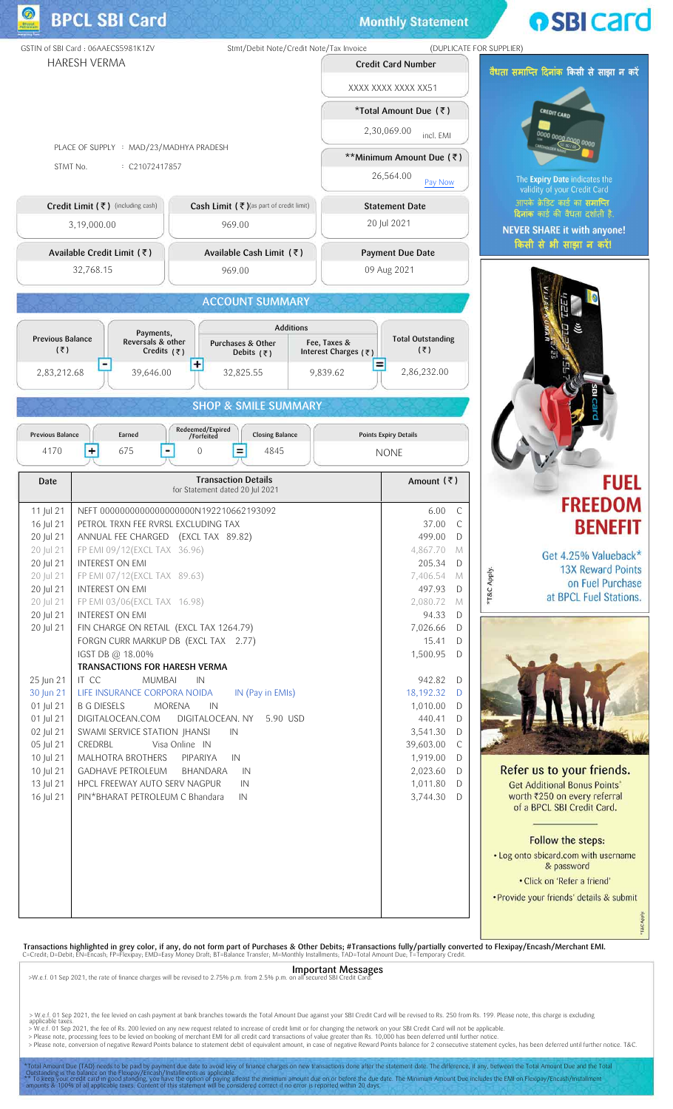

Transactions highlighted in grey color, if any, do not form part of Purchases & Other Debits; #Transactions fully/partially converted to Flexipay/Encash/Merchant EMI.<br>C=Credit; D=Debit; EN=Encash; FP=Flexipay; EMD=Easy Mon

Important Messages >W.e.f. 01 Sep 2021, the rate of finance charges will be revised to 2.75% p.m. from 2.5% p.m. on

> W.e.f. 01 Sep 2021, the fee levied on cash payment at bank branches towards the Total Amount Due against your SBI Credit Card will be revised to Rs. 250 from Rs. 199. Please note, this charge is excluding

applicable taxes.<br>> W.e.f. 01 Sep 2021, the fee of Rs. 200 levied on any new request related to increase of credit limit or for changing the network on your SBI Credit Card will not be applicable. > Please note, processing fees to be levied on booking of merchant EMI for all credit card transactions of value greater than Rs. 10,000 has been deferred until further notice.

> Please note, processing recent of the conversion conversion case of negative Reward Points balance for 2 consecutive statement cycles, has been deferred until further notice. T&C.<br>> Please note, conversion of negative Re

mount Due (TAD) needs to be paid by payment due date to avoid levy of finance charges on new transactions done after the statement date. The difference, if any, between the Total Amount Due and the Total Amount Due and the Outstanding is the balance on the Flexipay/Encash/Installments as applicable.<br>\*\* To keep your credit card in good standing, you have the option of paying atleast the minimum amount due on or before the due date. The Minimu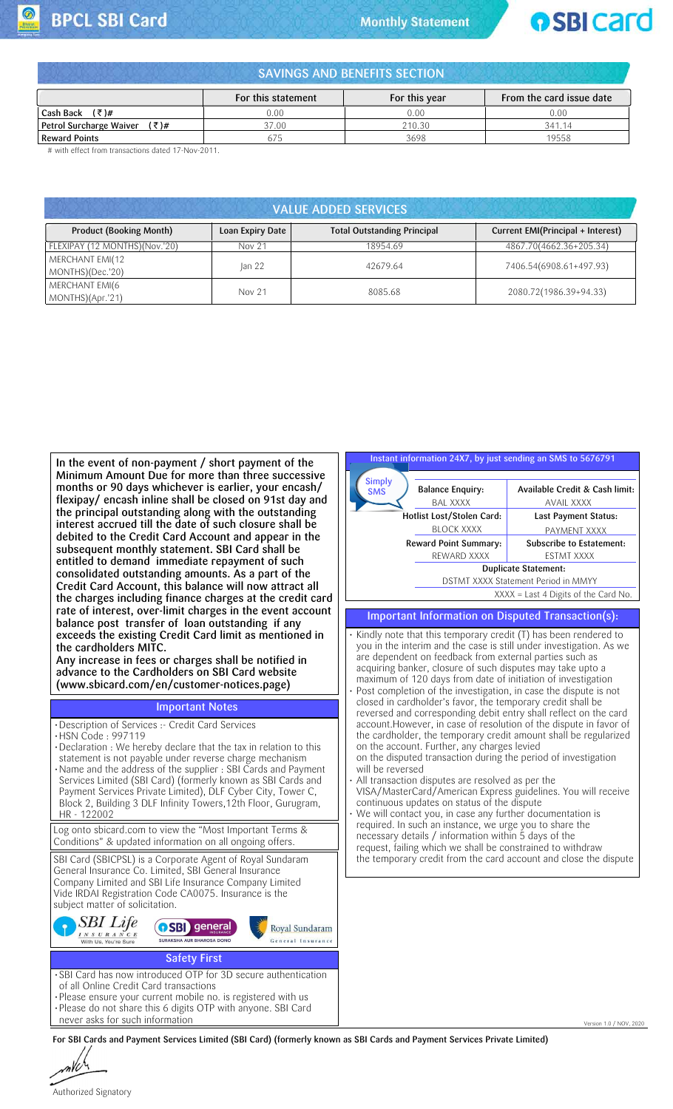**Monthly Statement** 

# **DSBI Card**

Version 1.0 / NOV, 2020

| <b>SAVINGS AND BENEFITS SECTION</b>   |                    |               |                          |
|---------------------------------------|--------------------|---------------|--------------------------|
|                                       | For this statement | For this year | From the card issue date |
| Cash Back $(\bar{z})$ #               | 0.00               | 0.00          | 0.00                     |
| Petrol Surcharge Waiver $(\bar{z})$ # | 37.00              | 210.30        | 341.14                   |
| <b>Reward Points</b>                  | 675                | 3698          | 19558                    |

# with effect from transactions dated 17-Nov-2011.

| <b>VALUE ADDED SERVICES</b>    |                  |                                    |                                   |
|--------------------------------|------------------|------------------------------------|-----------------------------------|
| <b>Product (Booking Month)</b> | Loan Expiry Date | <b>Total Outstanding Principal</b> | Current EMI(Principal + Interest) |
| FLEXIPAY (12 MONTHS)(Nov.'20)  | <b>Nov 21</b>    | 18954.69                           | 4867.70(4662.36+205.34)           |
| MERCHANT EMI(12                |                  | 42679.64                           | 7406.54(6908.61+497.93)           |
| MONTHS)(Dec.'20)               | Jan 22           |                                    |                                   |
| MERCHANT EMI(6                 |                  | 8085.68                            | 2080.72(1986.39+94.33)            |
| MONTHS)(Apr.'21)               | <b>Nov 21</b>    |                                    |                                   |



For SBI Cards and Payment Services Limited (SBI Card) (formerly known as SBI Cards and Payment Services Private Limited)

Authorized Signatory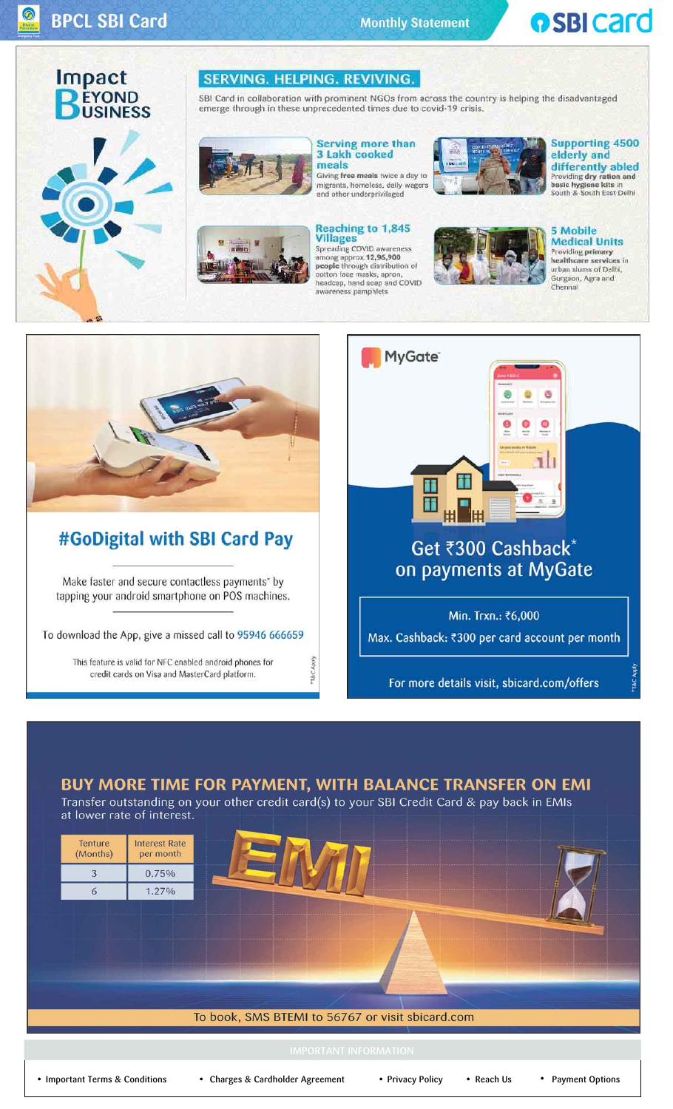**Monthly Statement** 

# **o** SBI card





SBI Card in collaboration with prominent NGOs from across the country is helping the disadvantaged emerge through in these unprecedented times due to covid-19 crisis.



#### Serving more than **3 Lakh cooked** meals

migrants, homeless, daily wager and other underprivileged







**Supporting 4500** elderly and differently abled<br>Providing dry ration and<br>basic hygiene kits in<br>South & South East Delhi



# Reaching to 1,845<br>Villages<br>Spreading COVID awareness

among approx.12,96,900<br>people through distribution of<br>cotton face masks, apron, headcap, hand soap and COVID<br>awareness pamphlets



#### 5 Mobile **Medical Units**

Providing primary<br>healthcare services in<br>urban slums of Delhi, Gurgaon, Agra and Chennai



## #GoDigital with SBI Card Pay

Make faster and secure contactless payments\* by tapping your android smartphone on POS machines.

To download the App, give a missed call to 95946 666659

This feature is valid for NFC enabled android phones for credit cards on Visa and MasterCard platform.



## Get ₹300 Cashback\* on payments at MyGate

Min. Trxn.: ₹6,000

Max. Cashback: ₹300 per card account per month

For more details visit, sbicard.com/offers

### **BUY MORE TIME FOR PAYMENT, WITH BALANCE TRANSFER ON EMI**

liddy

"T&C

Transfer outstanding on your other credit card(s) to your SBI Credit Card & pay back in EMIs at lower rate of interest.



• Important Terms & Conditions

• Charges & Cardholder Agreement

• Privacy Policy

• Reach Us

• Payment Options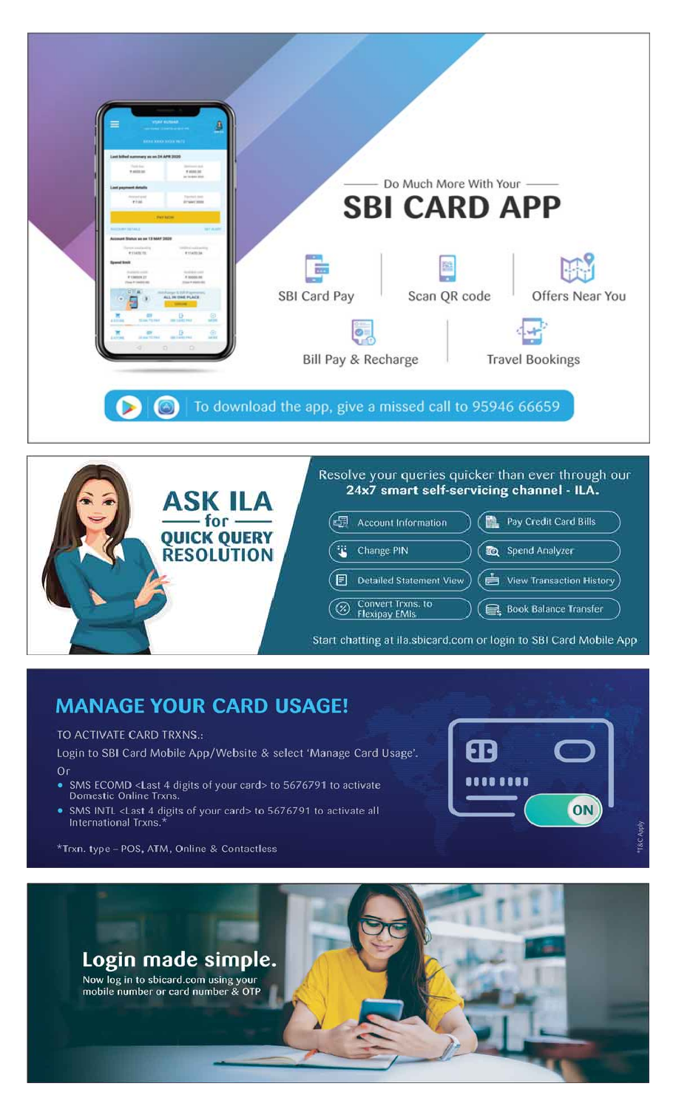



### Resolve your queries quicker than ever through our 24x7 smart self-servicing channel - ILA.

| <b>Account Information</b> |
|----------------------------|
| Change PIN                 |

```
Detailed Statement View )
```

```
Convert Trxns. to<br>Flexipay EMIs
```

```
吉 View Transaction History
Book Balance Transfer
```
Pay Credit Card Bills

Spend Analyzer

Start chatting at ila.sbicard.com or login to SBI Card Mobile App

## **MANAGE YOUR CARD USAGE!**

#### TO ACTIVATE CARD TRXNS.:

Login to SBI Card Mobile App/Website & select 'Manage Card Usage'. Or

- SMS ECOMD <Last 4 digits of your card> to 5676791 to activate Domestic Online Trxns.
- SMS INTL <Last 4 digits of your card> to 5676791 to activate all International Trxns.
- \*Trxn. type POS, ATM, Online & Contactless



## Login made simple.

Now log in to sbicard.com using your mobile number or card number & OTP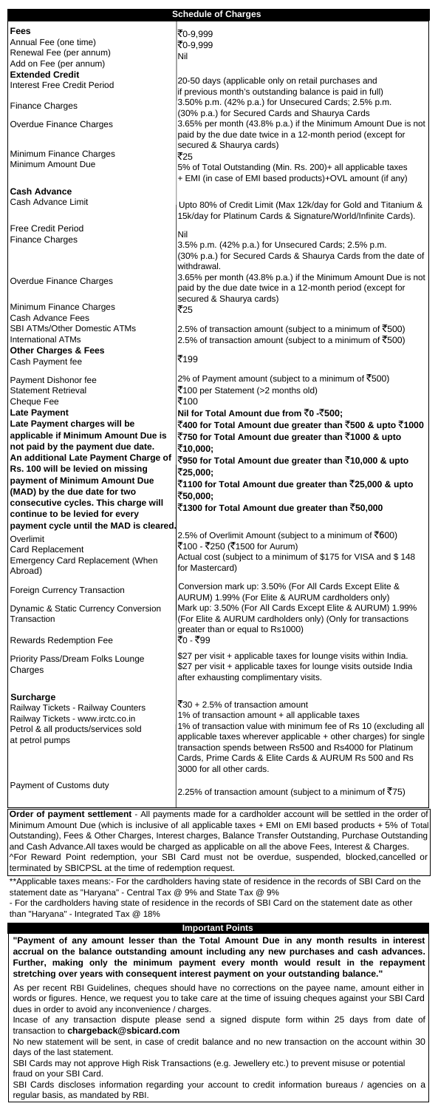**Order of payment settlement** - All payments made for a cardholder account will be settled in the order of Minimum Amount Due (which is inclusive of all applicable taxes + EMI on EMI based products + 5% of Total Outstanding), Fees & Other Charges, Interest charges, Balance Transfer Outstanding, Purchase Outstanding and Cash Advance.All taxes would be charged as applicable on all the above Fees, Interest & Charges. ^For Reward Point redemption, your SBI Card must not be overdue, suspended, blocked,cancelled or terminated by SBICPSL at the time of redemption request.

|                                                    | <b>Schedule of Charges</b>                                                                             |
|----------------------------------------------------|--------------------------------------------------------------------------------------------------------|
| <b>Fees</b>                                        |                                                                                                        |
| Annual Fee (one time)                              | ₹0-9,999<br>₹0-9,999                                                                                   |
| Renewal Fee (per annum)                            | <b>Nil</b>                                                                                             |
| Add on Fee (per annum)                             |                                                                                                        |
| <b>Extended Credit</b>                             |                                                                                                        |
| <b>Interest Free Credit Period</b>                 | 20-50 days (applicable only on retail purchases and                                                    |
|                                                    | if previous month's outstanding balance is paid in full)                                               |
| <b>Finance Charges</b>                             | 3.50% p.m. (42% p.a.) for Unsecured Cards; 2.5% p.m.<br>(30% p.a.) for Secured Cards and Shaurya Cards |
| <b>Overdue Finance Charges</b>                     | 3.65% per month (43.8% p.a.) if the Minimum Amount Due is not                                          |
|                                                    | paid by the due date twice in a 12-month period (except for                                            |
|                                                    | secured & Shaurya cards)                                                                               |
| Minimum Finance Charges                            | ₹25                                                                                                    |
| Minimum Amount Due                                 | 5% of Total Outstanding (Min. Rs. 200) + all applicable taxes                                          |
|                                                    | + EMI (in case of EMI based products)+OVL amount (if any)                                              |
| <b>Cash Advance</b>                                |                                                                                                        |
| Cash Advance Limit                                 | Upto 80% of Credit Limit (Max 12k/day for Gold and Titanium &                                          |
|                                                    | 15k/day for Platinum Cards & Signature/World/Infinite Cards).                                          |
|                                                    |                                                                                                        |
| <b>Free Credit Period</b>                          | <b>Nil</b>                                                                                             |
| <b>Finance Charges</b>                             | 3.5% p.m. (42% p.a.) for Unsecured Cards; 2.5% p.m.                                                    |
|                                                    | (30% p.a.) for Secured Cards & Shaurya Cards from the date of                                          |
|                                                    | withdrawal.                                                                                            |
| <b>Overdue Finance Charges</b>                     | 3.65% per month (43.8% p.a.) if the Minimum Amount Due is not                                          |
|                                                    | paid by the due date twice in a 12-month period (except for                                            |
| Minimum Finance Charges                            | secured & Shaurya cards)                                                                               |
| <b>Cash Advance Fees</b>                           | ₹25                                                                                                    |
| SBI ATMs/Other Domestic ATMs                       | 2.5% of transaction amount (subject to a minimum of $\bar{z}500$ )                                     |
| <b>International ATMs</b>                          | 2.5% of transaction amount (subject to a minimum of $\bar{5}500$ )                                     |
| <b>Other Charges &amp; Fees</b>                    |                                                                                                        |
| Cash Payment fee                                   | ₹199                                                                                                   |
|                                                    | 2% of Payment amount (subject to a minimum of $\bar{5}500$ )                                           |
| Payment Dishonor fee<br><b>Statement Retrieval</b> | ₹100 per Statement (>2 months old)                                                                     |
| <b>Cheque Fee</b>                                  | ₹100                                                                                                   |
| <b>Late Payment</b>                                | Nil for Total Amount due from ₹0 -₹500;                                                                |
| Late Payment charges will be                       | ₹400 for Total Amount due greater than ₹500 & upto ₹1000                                               |
| applicable if Minimum Amount Due is                | ₹750 for Total Amount due greater than ₹1000 & upto                                                    |
| not paid by the payment due date.                  | ₹10,000;                                                                                               |
| An additional Late Payment Charge of               | ₹950 for Total Amount due greater than ₹10,000 & upto                                                  |
| Rs. 100 will be levied on missing                  | ₹25,000;                                                                                               |
| payment of Minimum Amount Due                      | ₹1100 for Total Amount due greater than ₹25,000 & upto                                                 |
| (MAD) by the due date for two                      | ₹50,000;                                                                                               |
| consecutive cycles. This charge will               | ₹1300 for Total Amount due greater than ₹50,000                                                        |
| continue to be levied for every                    |                                                                                                        |
| payment cycle until the MAD is cleared.            |                                                                                                        |
| Overlimit                                          | 2.5% of Overlimit Amount (subject to a minimum of $\bar{5}600$ )                                       |
| <b>Card Replacement</b>                            | ₹100 - ₹250 (₹1500 for Aurum)                                                                          |
| <b>Emergency Card Replacement (When</b>            | Actual cost (subject to a minimum of \$175 for VISA and \$148                                          |
| Abroad)                                            | for Mastercard)                                                                                        |
|                                                    | Conversion mark up: 3.50% (For All Cards Except Elite &                                                |
| <b>Foreign Currency Transaction</b>                | AURUM) 1.99% (For Elite & AURUM cardholders only)                                                      |
| <b>Dynamic &amp; Static Currency Conversion</b>    | Mark up: 3.50% (For All Cards Except Elite & AURUM) 1.99%                                              |
| Transaction                                        | (For Elite & AURUM cardholders only) (Only for transactions                                            |
|                                                    | greater than or equal to Rs1000)                                                                       |
| <b>Rewards Redemption Fee</b>                      | ₹0 - ₹99                                                                                               |

| <b>Priority Pass/Dream Folks Lounge</b><br><b>Charges</b>                                                                                             | \$27 per visit + applicable taxes for lounge visits within India.<br>\$27 per visit + applicable taxes for lounge visits outside India<br>after exhausting complimentary visits.                                                                                                                                                                                                 |
|-------------------------------------------------------------------------------------------------------------------------------------------------------|----------------------------------------------------------------------------------------------------------------------------------------------------------------------------------------------------------------------------------------------------------------------------------------------------------------------------------------------------------------------------------|
| <b>Surcharge</b><br>Railway Tickets - Railway Counters<br>Railway Tickets - www.irctc.co.in<br>Petrol & all products/services sold<br>at petrol pumps | ₹30 + 2.5% of transaction amount<br>1% of transaction amount + all applicable taxes<br>1% of transaction value with minimum fee of Rs 10 (excluding all<br>applicable taxes wherever applicable $+$ other charges) for single<br>transaction spends between Rs500 and Rs4000 for Platinum<br>Cards, Prime Cards & Elite Cards & AURUM Rs 500 and Rs<br>3000 for all other cards. |
| Payment of Customs duty                                                                                                                               | 2.25% of transaction amount (subject to a minimum of $\bar{z}$ 75)                                                                                                                                                                                                                                                                                                               |

#### **Important Points**

\*\*Applicable taxes means:- For the cardholders having state of residence in the records of SBI Card on the statement date as "Haryana" - Central Tax @ 9% and State Tax @ 9%

- For the cardholders having state of residence in the records of SBI Card on the statement date as other than "Haryana" - Integrated Tax @ 18%

**"Payment of any amount lesser than the Total Amount Due in any month results in interest accrual on the balance outstanding amount including any new purchases and cash advances. Further, making only the minimum payment every month would result in the repayment stretching over years with consequent interest payment on your outstanding balance."**

As per recent RBI Guidelines, cheques should have no corrections on the payee name, amount either in words or figures. Hence, we request you to take care at the time of issuing cheques against your SBI Card dues in order to avoid any inconvenience / charges.

Incase of any transaction dispute please send a signed dispute form within 25 days from date of transaction to **chargeback@sbicard.com**

No new statement will be sent, in case of credit balance and no new transaction on the account within 30 days of the last statement.

SBI Cards may not approve High Risk Transactions (e.g. Jewellery etc.) to prevent misuse or potential fraud on your SBI Card.

SBI Cards discloses information regarding your account to credit information bureaus / agencies on a regular basis, as mandated by RBI.